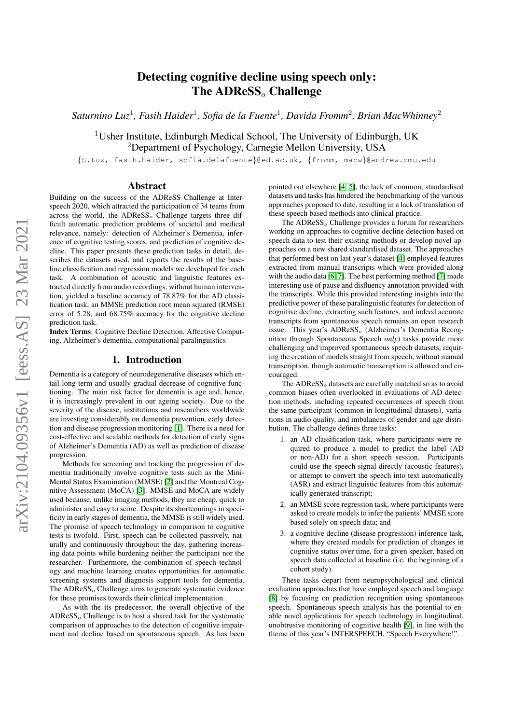# Detecting cognitive decline using speech only: The ADReSS<sub>o</sub> Challenge

*Saturnino Luz*<sup>1</sup> *, Fasih Haider*<sup>1</sup> *, Sofia de la Fuente*<sup>1</sup> *, Davida Fromm*<sup>2</sup> *, Brian MacWhinney*<sup>2</sup>

<sup>1</sup>Usher Institute, Edinburgh Medical School, The University of Edinburgh, UK <sup>2</sup>Department of Psychology, Carnegie Mellon University, USA

{S.Luz, fasih.haider, sofia.delafuente}@ed.ac.uk, {fromm, macw}@andrew.cmu.edu

## Abstract

Building on the success of the ADReSS Challenge at Interspeech 2020, which attracted the participation of 34 teams from across the world, the  $ADReSS<sub>o</sub>$  Challenge targets three difficult automatic prediction problems of societal and medical relevance, namely: detection of Alzheimer's Dementia, inference of cognitive testing scores, and prediction of cognitive decline. This paper presents these prediction tasks in detail, describes the datasets used, and reports the results of the baseline classification and regression models we developed for each task. A combination of acoustic and linguistic features extracted directly from audio recordings, without human intervention, yielded a baseline accuracy of 78.87% for the AD classification task, an MMSE prediction root mean squared (RMSE) error of 5.28, and 68.75% accuracy for the cognitive decline prediction task.

Index Terms: Cognitive Decline Detection, Affective Computing, Alzheimer's dementia, computational paralinguistics

## 1. Introduction

Dementia is a category of neurodegenerative diseases which entail long-term and usually gradual decrease of cognitive functioning. The main risk factor for dementia is age and, hence, it is increasingly prevalent in our ageing society. Due to the severity of the disease, institutions and researchers worldwide are investing considerably on dementia prevention, early detection and disease progression monitoring [\[1\]](#page-4-0). There is a need for cost-effective and scalable methods for detection of early signs of Alzheimer's Dementia (AD) as well as prediction of disease progression.

Methods for screening and tracking the progression of dementia traditionally involve cognitive tests such as the Mini-Mental Status Examination (MMSE) [\[2\]](#page-4-1) and the Montreal Cognitive Assessment (MoCA) [\[3\]](#page-4-2). MMSE and MoCA are widely used because, unlike imaging methods, they are cheap, quick to administer and easy to score. Despite its shortcomings in specificity in early stages of dementia, the MMSE is still widely used. The promise of speech technology in comparison to cognitive tests is twofold. First, speech can be collected passively, naturally and continuously throughout the day, gathering increasing data points while burdening neither the participant nor the researcher. Furthermore, the combination of speech technology and machine learning creates opportunities for automatic screening systems and diagnosis support tools for dementia. The  $ADReSS<sub>o</sub>$  Challenge aims to generate systematic evidence for these promises towards their clinical implementation.

As with the its predecessor, the overall objective of the  $ADRESS<sub>o</sub>$  Challenge is to host a shared task for the systematic comparison of approaches to the detection of cognitive impairment and decline based on spontaneous speech. As has been pointed out elsewhere [\[4,](#page-4-3) [5\]](#page-4-4), the lack of common, standardised datasets and tasks has hindered the benchmarking of the various approaches proposed to date, resulting in a lack of translation of these speech based methods into clinical practice.

The  $ADReSS<sub>o</sub>$  Challenge provides a forum for researchers working on approaches to cognitive decline detection based on speech data to test their existing methods or develop novel approaches on a new shared standardised dataset. The approaches that performed best on last year's dataset [\[4\]](#page-4-3) employed features extracted from manual transcripts which were provided along with the audio data [\[6,](#page-4-5) [7\]](#page-4-6). The best performing method [\[7\]](#page-4-6) made interesting use of pause and disfluency annotation provided with the transcripts. While this provided interesting insights into the predictive power of these paralinguistic features for detection of cognitive decline, extracting such features, and indeed accurate transcripts from spontaneous speech remains an open research issue. This year's ADReSS<sub>o</sub> (Alzheimer's Dementia Recognition through Spontaneous Speech *only*) tasks provide more challenging and improved spontaneous speech datasets, requiring the creation of models straight from speech, without manual transcription, though automatic transcription is allowed and encouraged.

The  $ADRESS<sub>o</sub>$  datasets are carefully matched so as to avoid common biases often overlooked in evaluations of AD detection methods, including repeated occurrences of speech from the same participant (common in longitudinal datasets), variations in audio quality, and imbalances of gender and age distribution. The challenge defines three tasks:

- 1. an AD classification task, where participants were required to produce a model to predict the label (AD or non-AD) for a short speech session. Participants could use the speech signal directly (acoustic features), or attempt to convert the speech into text automatically (ASR) and extract linguistic features from this automatically generated transcript;
- 2. an MMSE score regression task, where participants were asked to create models to infer the patients' MMSE score based solely on speech data; and
- 3. a cognitive decline (disease progression) inference task, where they created models for prediction of changes in cognitive status over time, for a given speaker, based on speech data collected at baseline (i.e. the beginning of a cohort study).

These tasks depart from neuropsychological and clinical evaluation approaches that have employed speech and language [\[8\]](#page-4-7) by focusing on prediction recognition using spontaneous speech. Spontaneous speech analysis has the potential to enable novel applications for speech technology in longitudinal, unobtrusive monitoring of cognitive health [\[9\]](#page-4-8), in line with the theme of this year's INTERSPEECH, "Speech Everywhere!".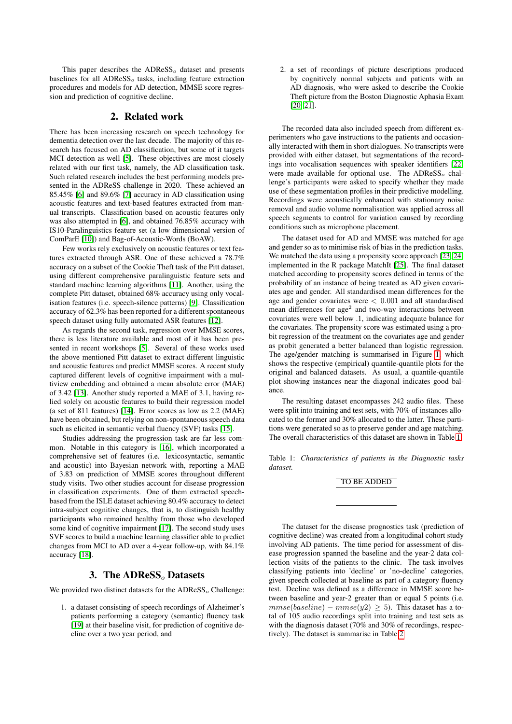This paper describes the  $ADReSS<sub>o</sub>$  dataset and presents baselines for all  $ADReSS<sub>o</sub>$  tasks, including feature extraction procedures and models for AD detection, MMSE score regression and prediction of cognitive decline.

## 2. Related work

<span id="page-1-1"></span>There has been increasing research on speech technology for dementia detection over the last decade. The majority of this research has focused on AD classification, but some of it targets MCI detection as well [\[5\]](#page-4-4). These objectives are most closely related with our first task, namely, the AD classification task. Such related research includes the best performing models presented in the ADReSS challenge in 2020. These achieved an 85.45% [\[6\]](#page-4-5) and 89.6% [\[7\]](#page-4-6) accuracy in AD classification using acoustic features and text-based features extracted from manual transcripts. Classification based on acoustic features only was also attempted in [\[6\]](#page-4-5), and obtained 76.85% accuracy with IS10-Paralinguistics feature set (a low dimensional version of ComParE [\[10\]](#page-4-9)) and Bag-of-Acoustic-Words (BoAW).

Few works rely exclusively on acoustic features or text features extracted through ASR. One of these achieved a 78.7% accuracy on a subset of the Cookie Theft task of the Pitt dataset, using different comprehensive paralinguistic feature sets and standard machine learning algorithms [\[11\]](#page-4-10). Another, using the complete Pitt dataset, obtained 68% accuracy using only vocalisation features (i.e. speech-silence patterns) [\[9\]](#page-4-8). Classification accuracy of 62.3% has been reported for a different spontaneous speech dataset using fully automated ASR features [\[12\]](#page-4-11).

As regards the second task, regression over MMSE scores, there is less literature available and most of it has been presented in recent workshops [\[5\]](#page-4-4). Several of these works used the above mentioned Pitt dataset to extract different linguistic and acoustic features and predict MMSE scores. A recent study captured different levels of cognitive impairment with a multiview embedding and obtained a mean absolute error (MAE) of 3.42 [\[13\]](#page-4-12). Another study reported a MAE of 3.1, having relied solely on acoustic features to build their regression model (a set of 811 features) [\[14\]](#page-4-13). Error scores as low as 2.2 (MAE) have been obtained, but relying on non-spontaneous speech data such as elicited in semantic verbal fluency (SVF) tasks [\[15\]](#page-4-14).

Studies addressing the progression task are far less common. Notable in this category is [\[16\]](#page-4-15), which incorporated a comprehensive set of features (i.e. lexicosyntactic, semantic and acoustic) into Bayesian network with, reporting a MAE of 3.83 on prediction of MMSE scores throughout different study visits. Two other studies account for disease progression in classification experiments. One of them extracted speechbased from the ISLE dataset achieving 80.4% accuracy to detect intra-subject cognitive changes, that is, to distinguish healthy participants who remained healthy from those who developed some kind of cognitive impairment [\[17\]](#page-4-16). The second study uses SVF scores to build a machine learning classifier able to predict changes from MCI to AD over a 4-year follow-up, with 84.1% accuracy [\[18\]](#page-4-17).

## 3. The ADReSS<sub>o</sub> Datasets

We provided two distinct datasets for the  $\triangle DRESS<sub>o</sub>$  Challenge:

1. a dataset consisting of speech recordings of Alzheimer's patients performing a category (semantic) fluency task [\[19\]](#page-4-18) at their baseline visit, for prediction of cognitive decline over a two year period, and

2. a set of recordings of picture descriptions produced by cognitively normal subjects and patients with an AD diagnosis, who were asked to describe the Cookie Theft picture from the Boston Diagnostic Aphasia Exam [\[20,](#page-4-19) [21\]](#page-4-20).

The recorded data also included speech from different experimenters who gave instructions to the patients and occasionally interacted with them in short dialogues. No transcripts were provided with either dataset, but segmentations of the recordings into vocalisation sequences with speaker identifiers [\[22\]](#page-4-21) were made available for optional use. The  $ADRESS<sub>o</sub>$  challenge's participants were asked to specify whether they made use of these segmentation profiles in their predictive modelling. Recordings were acoustically enhanced with stationary noise removal and audio volume normalisation was applied across all speech segments to control for variation caused by recording conditions such as microphone placement.

The dataset used for AD and MMSE was matched for age and gender so as to minimise risk of bias in the prediction tasks. We matched the data using a propensity score approach [\[23,](#page-4-22) [24\]](#page-4-23) implemented in the R package MatchIt [\[25\]](#page-4-24). The final dataset matched according to propensity scores defined in terms of the probability of an instance of being treated as AD given covariates age and gender. All standardised mean differences for the age and gender covariates were  $< 0.001$  and all standardised mean differences for  $age<sup>2</sup>$  and two-way interactions between covariates were well below .1, indicating adequate balance for the covariates. The propensity score was estimated using a probit regression of the treatment on the covariates age and gender as probit generated a better balanced than logistic regression. The age/gender matching is summarised in Figure [1,](#page-2-0) which shows the respective (empirical) quantile-quantile plots for the original and balanced datasets. As usual, a quantile-quantile plot showing instances near the diagonal indicates good balance.

The resulting dataset encompasses 242 audio files. These were split into training and test sets, with 70% of instances allocated to the former and 30% allocated to the latter. These partitions were generated so as to preserve gender and age matching. The overall characteristics of this dataset are shown in Table [1.](#page-1-0)

<span id="page-1-0"></span>Table 1: *Characteristics of patients in the Diagnostic tasks dataset.*

#### TO BE ADDED

The dataset for the disease prognostics task (prediction of cognitive decline) was created from a longitudinal cohort study involving AD patients. The time period for assessment of disease progression spanned the baseline and the year-2 data collection visits of the patients to the clinic. The task involves classifying patients into 'decline' or 'no-decline' categories, given speech collected at baseline as part of a category fluency test. Decline was defined as a difference in MMSE score between baseline and year-2 greater than or equal 5 points (i.e.  $mmse(baseline) - mmse(y2) \geq 5$ . This dataset has a total of 105 audio recordings split into training and test sets as with the diagnosis dataset (70% and 30% of recordings, respectively). The dataset is summarise in Table [2](#page-2-1)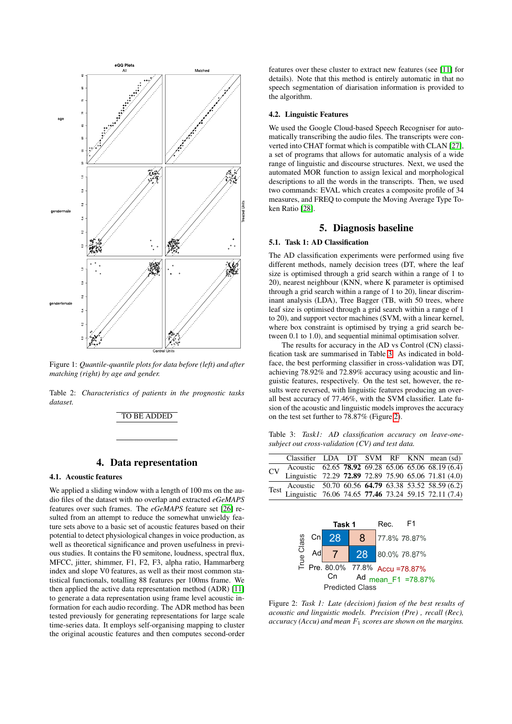<span id="page-2-0"></span>

Figure 1: *Quantile-quantile plots for data before (left) and after matching (right) by age and gender.*

<span id="page-2-1"></span>Table 2: *Characteristics of patients in the prognostic tasks dataset.*

#### TO BE ADDED

## 4. Data representation

#### <span id="page-2-4"></span>4.1. Acoustic features

We applied a sliding window with a length of 100 ms on the audio files of the dataset with no overlap and extracted *eGeMAPS* features over such frames. The *eGeMAPS* feature set [\[26\]](#page-4-25) resulted from an attempt to reduce the somewhat unwieldy feature sets above to a basic set of acoustic features based on their potential to detect physiological changes in voice production, as well as theoretical significance and proven usefulness in previous studies. It contains the F0 semitone, loudness, spectral flux, MFCC, jitter, shimmer, F1, F2, F3, alpha ratio, Hammarberg index and slope V0 features, as well as their most common statistical functionals, totalling 88 features per 100ms frame. We then applied the active data representation method (ADR) [\[11\]](#page-4-10) to generate a data representation using frame level acoustic information for each audio recording. The ADR method has been tested previously for generating representations for large scale time-series data. It employs self-organising mapping to cluster the original acoustic features and then computes second-order features over these cluster to extract new features (see [\[11\]](#page-4-10) for details). Note that this method is entirely automatic in that no speech segmentation of diarisation information is provided to the algorithm.

#### 4.2. Linguistic Features

We used the Google Cloud-based Speech Recogniser for automatically transcribing the audio files. The transcripts were converted into CHAT format which is compatible with CLAN [\[27\]](#page-4-26), a set of programs that allows for automatic analysis of a wide range of linguistic and discourse structures. Next, we used the automated MOR function to assign lexical and morphological descriptions to all the words in the transcripts. Then, we used two commands: EVAL which creates a composite profile of 34 measures, and FREQ to compute the Moving Average Type Token Ratio [\[28\]](#page-4-27).

## 5. Diagnosis baseline

#### 5.1. Task 1: AD Classification

The AD classification experiments were performed using five different methods, namely decision trees (DT, where the leaf size is optimised through a grid search within a range of 1 to 20), nearest neighbour (KNN, where K parameter is optimised through a grid search within a range of 1 to 20), linear discriminant analysis (LDA), Tree Bagger (TB, with 50 trees, where leaf size is optimised through a grid search within a range of 1 to 20), and support vector machines (SVM, with a linear kernel, where box constraint is optimised by trying a grid search between 0.1 to 1.0), and sequential minimal optimisation solver.

The results for accuracy in the AD vs Control (CN) classification task are summarised in Table [3.](#page-2-2) As indicated in boldface, the best performing classifier in cross-validation was DT, achieving 78.92% and 72.89% accuracy using acoustic and linguistic features, respectively. On the test set, however, the results were reversed, with linguistic features producing an overall best accuracy of 77.46%, with the SVM classifier. Late fusion of the acoustic and linguistic models improves the accuracy on the test set further to 78.87% (Figure [2\)](#page-2-3).

<span id="page-2-2"></span>Table 3: *Task1: AD classification accuracy on leave-onesubject out cross-validation (CV) and test data.*

|  |  |  |  | Classifier LDA DT SVM RF KNN mean (sd)                                                                                                                                                                                                     |
|--|--|--|--|--------------------------------------------------------------------------------------------------------------------------------------------------------------------------------------------------------------------------------------------|
|  |  |  |  |                                                                                                                                                                                                                                            |
|  |  |  |  |                                                                                                                                                                                                                                            |
|  |  |  |  |                                                                                                                                                                                                                                            |
|  |  |  |  | CV Acoustic 62.65 78.92 69.28 65.06 65.06 68.19 (6.4)<br>CV Linguistic 72.29 72.89 72.89 75.90 65.06 71.81 (4.0)<br>Acoustic 50.70 60.56 <b>64.79</b> 63.38 53.52 58.59 (6.2)<br>Test Linguistic 76.06 74.65 77.46 73.24 59.15 72.11 (7.4) |
|  |  |  |  |                                                                                                                                                                                                                                            |

<span id="page-2-3"></span>

Figure 2: *Task 1: Late (decision) fusion of the best results of acoustic and linguistic models. Precision (Pre) , recall (Rec), accuracy (Accu) and mean* F<sup>1</sup> *scores are shown on the margins.*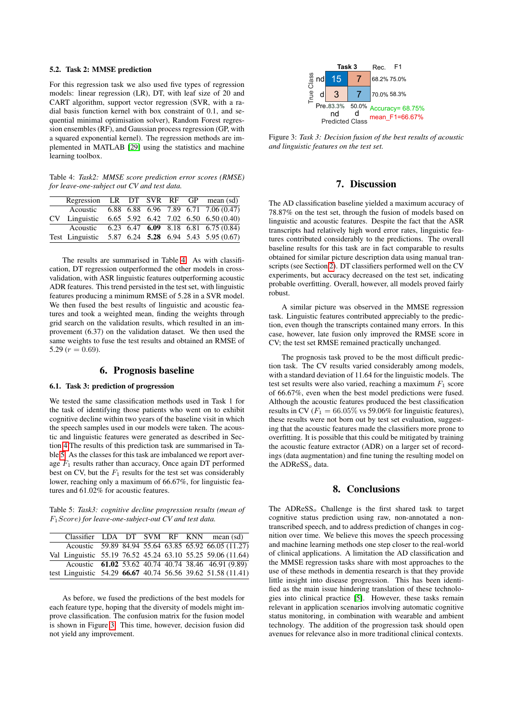#### 5.2. Task 2: MMSE prediction

For this regression task we also used five types of regression models: linear regression (LR), DT, with leaf size of 20 and CART algorithm, support vector regression (SVR, with a radial basis function kernel with box constraint of 0.1, and sequential minimal optimisation solver), Random Forest regression ensembles (RF), and Gaussian process regression (GP, with a squared exponential kernel). The regression methods are implemented in MATLAB [\[29\]](#page-4-28) using the statistics and machine learning toolbox.

<span id="page-3-0"></span>Table 4: *Task2: MMSE score prediction error scores (RMSE) for leave-one-subject out CV and test data.*

|      | Regression LR DT SVR RF GP mean (sd) |  |  |                                                    |
|------|--------------------------------------|--|--|----------------------------------------------------|
|      | Acoustic                             |  |  | 6.88 6.88 6.96 7.89 6.71 7.06 (0.47)               |
| CV – | Linguistic                           |  |  | 6.65 5.92 6.42 7.02 6.50 6.50 (0.40)               |
|      | Acoustic                             |  |  | $6.23$ $6.47$ $6.09$ $8.18$ $6.81$ $6.75$ $(0.84)$ |
|      | Test Linguistic                      |  |  | 5.87 6.24 5.28 6.94 5.43 5.95 (0.67)               |

The results are summarised in Table [4.](#page-3-0) As with classification, DT regression outperformed the other models in crossvalidation, with ASR linguistic features outperforming acoustic ADR features. This trend persisted in the test set, with linguistic features producing a minimum RMSE of 5.28 in a SVR model. We then fused the best results of linguistic and acoustic features and took a weighted mean, finding the weights through grid search on the validation results, which resulted in an improvement (6.37) on the validation dataset. We then used the same weights to fuse the test results and obtained an RMSE of 5.29 ( $r = 0.69$ ).

## 6. Prognosis baseline

#### 6.1. Task 3: prediction of progression

We tested the same classification methods used in Task 1 for the task of identifying those patients who went on to exhibit cognitive decline within two years of the baseline visit in which the speech samples used in our models were taken. The acoustic and linguistic features were generated as described in Section [4.](#page-2-4)The results of this prediction task are summarised in Table [5.](#page-3-1) As the classes for this task are imbalanced we report average  $F_1$  results rather than accuracy, Once again DT performed best on CV, but the  $F_1$  results for the test set was considerably lower, reaching only a maximum of 66.67%, for linguistic features and 61.02% for acoustic features.

<span id="page-3-1"></span>Table 5: *Task3: cognitive decline progression results (mean of* F1Score*) for leave-one-subject-out CV and test data.*

|  |  |  | Classifier LDA DT SVM RF KNN mean (sd)                      |
|--|--|--|-------------------------------------------------------------|
|  |  |  | Acoustic 59.89 84.94 55.64 63.85 65.92 66.05 (11.27)        |
|  |  |  | Val Linguistic 55.19 76.52 45.24 63.10 55.25 59.06 (11.64)  |
|  |  |  | Acoustic 61.02 53.62 40.74 40.74 38.46 46.91 (9.89)         |
|  |  |  | test Linguistic 54.29 66.67 40.74 56.56 39.62 51.58 (11.41) |

As before, we fused the predictions of the best models for each feature type, hoping that the diversity of models might improve classification. The confusion matrix for the fusion model is shown in Figure [3.](#page-3-2) This time, however, decision fusion did not yield any improvement.

<span id="page-3-2"></span>

Figure 3: *Task 3: Decision fusion of the best results of acoustic and linguistic features on the test set.*

## 7. Discussion

The AD classification baseline yielded a maximum accuracy of 78.87% on the test set, through the fusion of models based on linguistic and acoustic features. Despite the fact that the ASR transcripts had relatively high word error rates, linguistic features contributed considerably to the predictions. The overall baseline results for this task are in fact comparable to results obtained for similar picture description data using manual transcripts (see Section [2\)](#page-1-1). DT classifiers performed well on the CV experiments, but accuracy decreased on the test set, indicating probable overfitting. Overall, however, all models proved fairly robust.

A similar picture was observed in the MMSE regression task. Linguistic features contributed appreciably to the prediction, even though the transcripts contained many errors. In this case, however, late fusion only improved the RMSE score in CV; the test set RMSE remained practically unchanged.

The prognosis task proved to be the most difficult prediction task. The CV results varied considerably among models, with a standard deviation of 11.64 for the linguistic models. The test set results were also varied, reaching a maximum  $F_1$  score of 66.67%, even when the best model predictions were fused. Although the acoustic features produced the best classification results in CV ( $F_1 = 66.05\%$  vs 59.06% for linguistic features), these results were not born out by test set evaluation, suggesting that the acoustic features made the classifiers more prone to overfitting. It is possible that this could be mitigated by training the acoustic feature extractor (ADR) on a larger set of recordings (data augmentation) and fine tuning the resulting model on the ADReSS<sub>o</sub> data.

## 8. Conclusions

The  $ADR \text{eSS}_o$  Challenge is the first shared task to target cognitive status prediction using raw, non-annotated a nontranscribed speech, and to address prediction of changes in cognition over time. We believe this moves the speech processing and machine learning methods one step closer to the real-world of clinical applications. A limitation the AD classification and the MMSE regression tasks share with most approaches to the use of these methods in dementia research is that they provide little insight into disease progression. This has been identified as the main issue hindering translation of these technologies into clinical practice [\[5\]](#page-4-4). However, these tasks remain relevant in application scenarios involving automatic cognitive status monitoring, in combination with wearable and ambient technology. The addition of the progression task should open avenues for relevance also in more traditional clinical contexts.